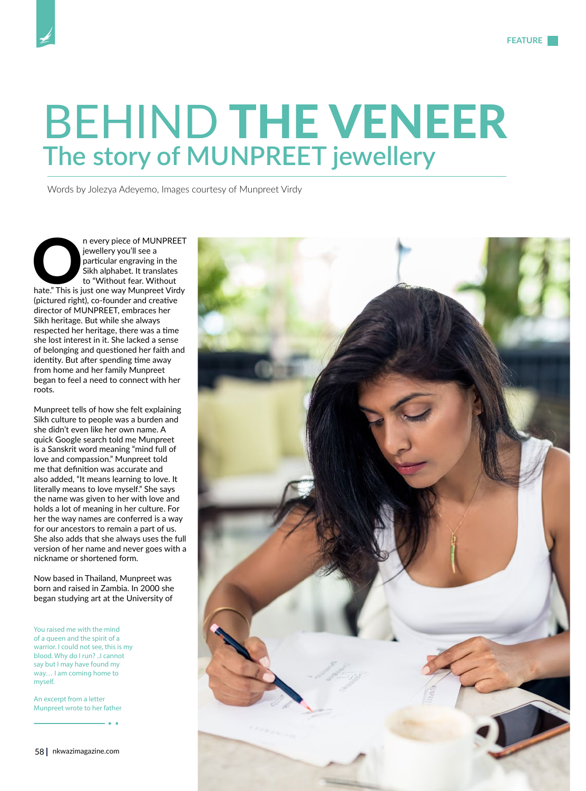## BEHIND THE VENEER **The story of MUNPREET jewellery**

Words by Jolezya Adeyemo, Images courtesy of Munpreet Virdy

n every piece of MUNPREET<br>
jewellery you'll see a<br>
particular engraving in the<br>
Sikh alphabet. It translates<br>
to "Without fear. Without<br>
hate." This is just one way Munpreet Virdy jewellery you'll see a particular engraving in the Sikh alphabet. It translates to "Without fear. Without (pictured right), co-founder and creative director of MUNPREET, embraces her Sikh heritage. But while she always respected her heritage, there was a time she lost interest in it. She lacked a sense of belonging and questioned her faith and identity. But after spending time away from home and her family Munpreet began to feel a need to connect with her roots.

Munpreet tells of how she felt explaining Sikh culture to people was a burden and she didn't even like her own name. A quick Google search told me Munpreet is a Sanskrit word meaning "mind full of love and compassion." Munpreet told me that definition was accurate and also added, "It means learning to love. It literally means to love myself." She says the name was given to her with love and holds a lot of meaning in her culture. For her the way names are conferred is a way for our ancestors to remain a part of us. She also adds that she always uses the full version of her name and never goes with a nickname or shortened form.

Now based in Thailand, Munpreet was born and raised in Zambia. In 2000 she began studying art at the University of

You raised me with the mind of a queen and the spirit of a warrior. I could not see, this is my blood. Why do I run? ..I cannot say but I may have found my way… I am coming home to myself.

An excerpt from a letter Munpreet wrote to her father

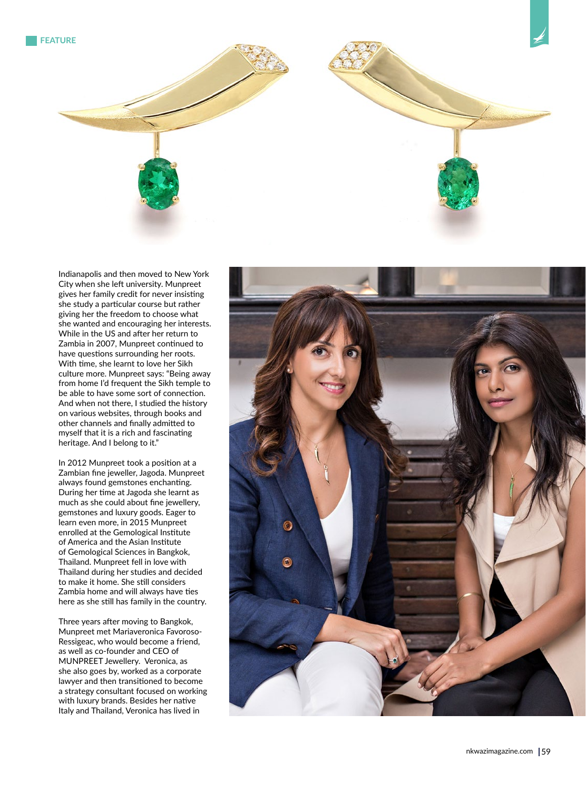

Indianapolis and then moved to New York City when she left university. Munpreet gives her family credit for never insisting she study a particular course but rather giving her the freedom to choose what she wanted and encouraging her interests. While in the US and after her return to Zambia in 2007, Munpreet continued to have questions surrounding her roots. With time, she learnt to love her Sikh culture more. Munpreet says: "Being away from home I'd frequent the Sikh temple to be able to have some sort of connection. And when not there, I studied the history on various websites, through books and other channels and finally admitted to myself that it is a rich and fascinating heritage. And I belong to it."

In 2012 Munpreet took a position at a Zambian fine jeweller, Jagoda. Munpreet always found gemstones enchanting. During her time at Jagoda she learnt as much as she could about fine jewellery, gemstones and luxury goods. Eager to learn even more, in 2015 Munpreet enrolled at the Gemological Institute of America and the Asian Institute of Gemological Sciences in Bangkok, Thailand. Munpreet fell in love with Thailand during her studies and decided to make it home. She still considers Zambia home and will always have ties here as she still has family in the country.

Three years after moving to Bangkok, Munpreet met Mariaveronica Favoroso-Ressigeac, who would become a friend, as well as co-founder and CEO of MUNPREET Jewellery. Veronica, as she also goes by, worked as a corporate lawyer and then transitioned to become a strategy consultant focused on working with luxury brands. Besides her native Italy and Thailand, Veronica has lived in